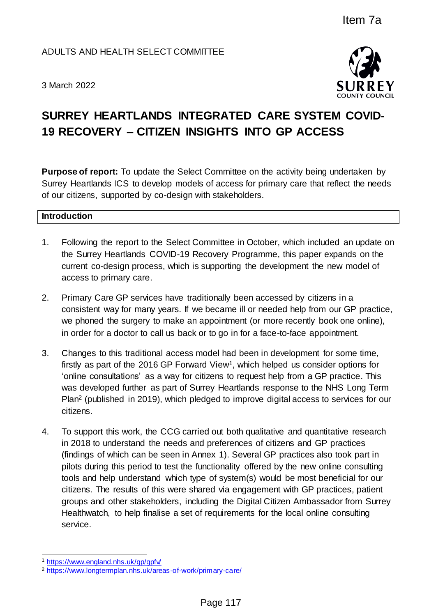# ADULTS AND HEALTH SELECT COMMITTEE

3 March 2022



# **SURREY HEARTLANDS INTEGRATED CARE SYSTEM COVID-19 RECOVERY – CITIZEN INSIGHTS INTO GP ACCESS**

**Purpose of report:** To update the Select Committee on the activity being undertaken by Surrey Heartlands ICS to develop models of access for primary care that reflect the needs of our citizens, supported by co-design with stakeholders.

## **Introduction**

- 1. Following the report to the Select Committee in October, which included an update on the Surrey Heartlands COVID-19 Recovery Programme, this paper expands on the current co-design process, which is supporting the development the new model of access to primary care.
- 2. Primary Care GP services have traditionally been accessed by citizens in a consistent way for many years. If we became ill or needed help from our GP practice, we phoned the surgery to make an appointment (or more recently book one online), in order for a doctor to call us back or to go in for a face-to-face appointment.
- 3. Changes to this traditional access model had been in development for some time, firstly as part of the 2016 GP Forward View<sup>1</sup>, which helped us consider options for 'online consultations' as a way for citizens to request help from a GP practice. This was developed further as part of Surrey Heartlands response to the NHS Long Term Plan<sup>2</sup> (published in 2019), which pledged to improve digital access to services for our citizens.
- 4. To support this work, the CCG carried out both qualitative and quantitative research in 2018 to understand the needs and preferences of citizens and GP practices (findings of which can be seen in Annex 1). Several GP practices also took part in pilots during this period to test the functionality offered by the new online consulting tools and help understand which type of system(s) would be most beneficial for our citizens. The results of this were shared via engagement with GP practices, patient groups and other stakeholders, including the Digital Citizen Ambassador from Surrey Healthwatch, to help finalise a set of requirements for the local online consulting service. Item 7a<br>
FIGHTEE<br>
FORATED CARE SYSTEM COVID<br>
SOURCESS<br>
CONNTS INTO GP ACCESS<br>
CONNTS INTO GP ACCESS<br>
CONNTS INTO GP ACCESS<br>
CONNTS INTO GP ACCESS<br>
CONNTS INTO GP ACCESS<br>
CONNTS INTO GP ACCESS<br>
CONNTS INTO GP ACCESS<br>
CONNTS

 $\overline{a}$ <sup>1</sup> <https://www.england.nhs.uk/gp/gpfv/>

<sup>2</sup> <https://www.longtermplan.nhs.uk/areas-of-work/primary-care/>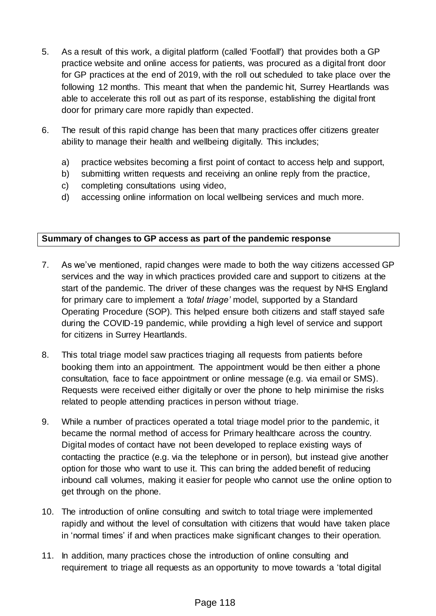- 5. As a result of this work, a digital platform (called 'Footfall') that provides both a GP practice website and online access for patients, was procured as a digital front door for GP practices at the end of 2019, with the roll out scheduled to take place over the following 12 months. This meant that when the pandemic hit, Surrey Heartlands was able to accelerate this roll out as part of its response, establishing the digital front door for primary care more rapidly than expected.
- 6. The result of this rapid change has been that many practices offer citizens greater ability to manage their health and wellbeing digitally. This includes;
	- a) practice websites becoming a first point of contact to access help and support,
	- b) submitting written requests and receiving an online reply from the practice,
	- c) completing consultations using video,
	- d) accessing online information on local wellbeing services and much more.

# **Summary of changes to GP access as part of the pandemic response**

- 7. As we've mentioned, rapid changes were made to both the way citizens accessed GP services and the way in which practices provided care and support to citizens at the start of the pandemic. The driver of these changes was the request by NHS England for primary care to implement a *'total triage'* model, supported by a [Standard](https://www.england.nhs.uk/coronavirus/publication/managing-coronavirus-covid-19-in-general-practice-sop/)  [Operating Procedure](https://www.england.nhs.uk/coronavirus/publication/managing-coronavirus-covid-19-in-general-practice-sop/) (SOP). This helped ensure both citizens and staff stayed safe during the COVID-19 pandemic, while providing a high level of service and support for citizens in Surrey Heartlands.
- 8. This total triage model saw practices triaging all requests from patients before booking them into an appointment. The appointment would be then either a phone consultation, face to face appointment or online message (e.g. via email or SMS). Requests were received either digitally or over the phone to help minimise the risks related to people attending practices in person without triage.
- 9. While a number of practices operated a total triage model prior to the pandemic, it became the normal method of access for Primary healthcare across the country. Digital modes of contact have not been developed to replace existing ways of contacting the practice (e.g. via the telephone or in person), but instead give another option for those who want to use it. This can bring the added benefit of reducing inbound call volumes, making it easier for people who cannot use the online option to get through on the phone.
- 10. The introduction of online consulting and switch to total triage were implemented rapidly and without the level of consultation with citizens that would have taken place in 'normal times' if and when practices make significant changes to their operation.
- 11. In addition, many practices chose the introduction of online consulting and requirement to triage all requests as an opportunity to move towards a 'total digital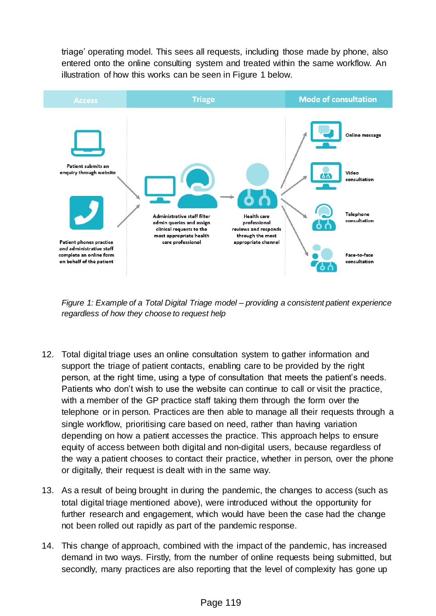triage' operating model. This sees all requests, including those made by phone, also entered onto the online consulting system and treated within the same workflow. An illustration of how this works can be seen in Figure 1 below.



*Figure 1: Example of a Total Digital Triage model – providing a consistent patient experience regardless of how they choose to request help* 

- 12. Total digital triage uses an online consultation system to gather information and support the triage of patient contacts, enabling care to be provided by the right person, at the right time, using a type of consultation that meets the patient's needs. Patients who don't wish to use the website can continue to call or visit the practice, with a member of the GP practice staff taking them through the form over the telephone or in person. Practices are then able to manage all their requests through a single workflow, prioritising care based on need, rather than having variation depending on how a patient accesses the practice. This approach helps to ensure equity of access between both digital and non-digital users, because regardless of the way a patient chooses to contact their practice, whether in person, over the phone or digitally, their request is dealt with in the same way.
- 13. As a result of being brought in during the pandemic, the changes to access (such as total digital triage mentioned above), were introduced without the opportunity for further research and engagement, which would have been the case had the change not been rolled out rapidly as part of the pandemic response.
- 14. This change of approach, combined with the impact of the pandemic, has increased demand in two ways. Firstly, from the number of online requests being submitted, but secondly, many practices are also reporting that the level of complexity has gone up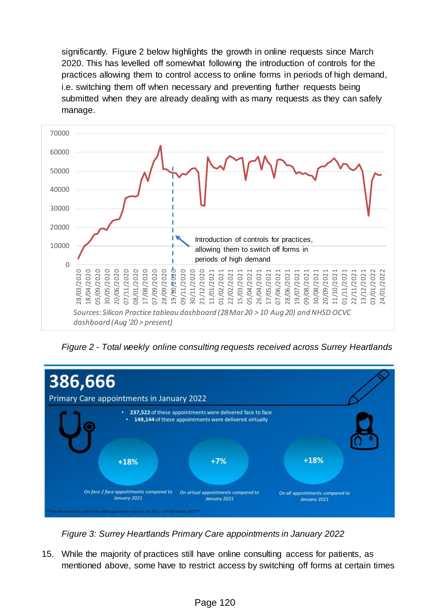significantly. Figure 2 below highlights the growth in online requests since March 2020. This has levelled off somewhat following the introduction of controls for the practices allowing them to control access to online forms in periods of high demand, i.e. switching them off when necessary and preventing further requests being submitted when they are already dealing with as many requests as they can safely manage.



*Figure 2 - Total weekly online consulting requests received across Surrey Heartlands*



*Figure 3: Surrey Heartlands Primary Care appointments in January 2022*

15. While the majority of practices still have online consulting access for patients, as mentioned above, some have to restrict access by switching off forms at certain times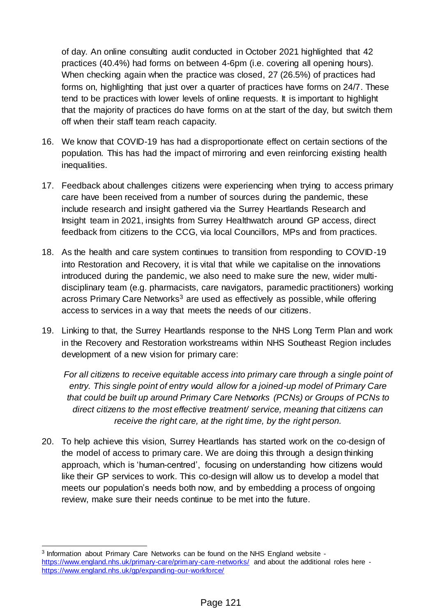of day. An online consulting audit conducted in October 2021 highlighted that 42 practices (40.4%) had forms on between 4-6pm (i.e. covering all opening hours). When checking again when the practice was closed, 27 (26.5%) of practices had forms on, highlighting that just over a quarter of practices have forms on 24/7. These tend to be practices with lower levels of online requests. It is important to highlight that the majority of practices do have forms on at the start of the day, but switch them off when their staff team reach capacity.

- 16. We know that COVID-19 has had a disproportionate effect on certain sections of the population. This has had the impact of mirroring and even reinforcing existing health inequalities.
- 17. Feedback about challenges citizens were experiencing when trying to access primary care have been received from a number of sources during the pandemic, these include research and insight gathered via the Surrey Heartlands Research and Insight team in 2021, insights from Surrey Healthwatch around GP access, direct feedback from citizens to the CCG, via local Councillors, MPs and from practices.
- 18. As the health and care system continues to transition from responding to COVID-19 into Restoration and Recovery, it is vital that while we capitalise on the innovations introduced during the pandemic, we also need to make sure the new, wider multidisciplinary team (e.g. pharmacists, care navigators, paramedic practitioners) working across Primary Care Networks $3$  are used as effectively as possible, while offering access to services in a way that meets the needs of our citizens.
- 19. Linking to that, the Surrey Heartlands response to the NHS Long Term Plan and work in the Recovery and Restoration workstreams within NHS Southeast Region includes development of a new vision for primary care:

*For all citizens to receive equitable access into primary care through a single point of entry. This single point of entry would allow for a joined-up model of Primary Care that could be built up around Primary Care Networks (PCNs) or Groups of PCNs to direct citizens to the most effective treatment/ service, meaning that citizens can receive the right care, at the right time, by the right person.*

20. To help achieve this vision, Surrey Heartlands has started work on the co-design of the model of access to primary care. We are doing this through a design thinking approach, which is 'human-centred', focusing on understanding how citizens would like their GP services to work. This co-design will allow us to develop a model that meets our population's needs both now, and by embedding a process of ongoing review, make sure their needs continue to be met into the future.

l

<sup>3</sup> Information about Primary Care Networks can be found on the NHS England website <https://www.england.nhs.uk/primary-care/primary-care-networks/> and about the additional roles here <https://www.england.nhs.uk/gp/expanding-our-workforce/>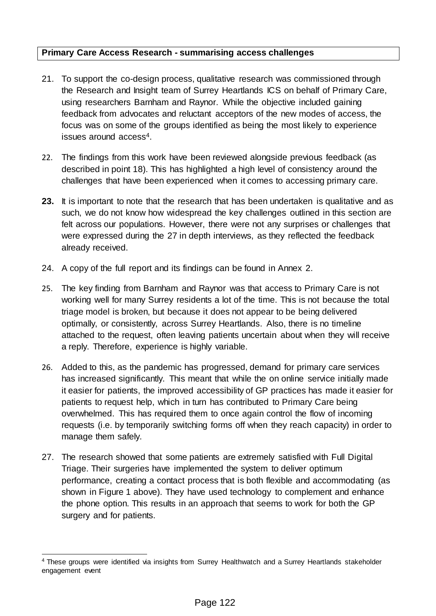## **Primary Care Access Research - summarising access challenges**

- 21. To support the co-design process, qualitative research was commissioned through the Research and Insight team of Surrey Heartlands ICS on behalf of Primary Care, using researchers Barnham and Raynor. While the objective included gaining feedback from advocates and reluctant acceptors of the new modes of access, the focus was on some of the groups identified as being the most likely to experience issues around access<sup>4</sup>.
- 22. The findings from this work have been reviewed alongside previous feedback (as described in point 18). This has highlighted a high level of consistency around the challenges that have been experienced when it comes to accessing primary care.
- **23.** It is important to note that the research that has been undertaken is qualitative and as such, we do not know how widespread the key challenges outlined in this section are felt across our populations. However, there were not any surprises or challenges that were expressed during the 27 in depth interviews, as they reflected the feedback already received.
- 24. A copy of the full report and its findings can be found in Annex 2.
- 25. The key finding from Barnham and Raynor was that access to Primary Care is not working well for many Surrey residents a lot of the time. This is not because the total triage model is broken, but because it does not appear to be being delivered optimally, or consistently, across Surrey Heartlands. Also, there is no timeline attached to the request, often leaving patients uncertain about when they will receive a reply. Therefore, experience is highly variable.
- 26. Added to this, as the pandemic has progressed, demand for primary care services has increased significantly. This meant that while the on online service initially made it easier for patients, the improved accessibility of GP practices has made it easier for patients to request help, which in turn has contributed to Primary Care being overwhelmed. This has required them to once again control the flow of incoming requests (i.e. by temporarily switching forms off when they reach capacity) in order to manage them safely.
- 27. The research showed that some patients are extremely satisfied with Full Digital Triage. Their surgeries have implemented the system to deliver optimum performance, creating a contact process that is both flexible and accommodating (as shown in Figure 1 above). They have used technology to complement and enhance the phone option. This results in an approach that seems to work for both the GP surgery and for patients.

 $\overline{a}$ <sup>4</sup> These groups were identified via insights from Surrey Healthwatch and a Surrey Heartlands stakeholder engagement event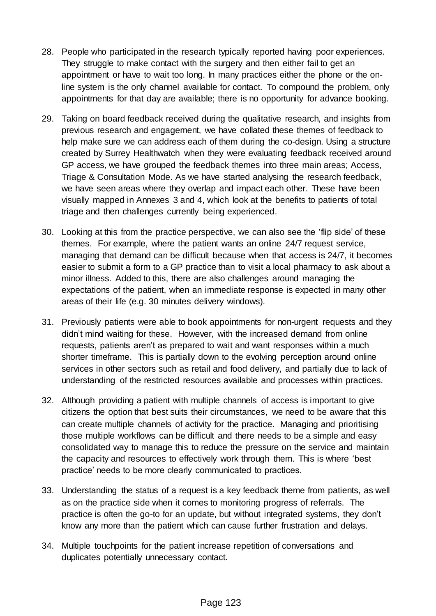- 28. People who participated in the research typically reported having poor experiences. They struggle to make contact with the surgery and then either fail to get an appointment or have to wait too long. In many practices either the phone or the online system is the only channel available for contact. To compound the problem, only appointments for that day are available; there is no opportunity for advance booking.
- 29. Taking on board feedback received during the qualitative research, and insights from previous research and engagement, we have collated these themes of feedback to help make sure we can address each of them during the co-design. Using a structure created by Surrey Healthwatch when they were evaluating feedback received around GP access, we have grouped the feedback themes into three main areas; Access, Triage & Consultation Mode. As we have started analysing the research feedback, we have seen areas where they overlap and impact each other. These have been visually mapped in Annexes 3 and 4, which look at the benefits to patients of total triage and then challenges currently being experienced.
- 30. Looking at this from the practice perspective, we can also see the 'flip side' of these themes. For example, where the patient wants an online 24/7 request service, managing that demand can be difficult because when that access is 24/7, it becomes easier to submit a form to a GP practice than to visit a local pharmacy to ask about a minor illness. Added to this, there are also challenges around managing the expectations of the patient, when an immediate response is expected in many other areas of their life (e.g. 30 minutes delivery windows).
- 31. Previously patients were able to book appointments for non-urgent requests and they didn't mind waiting for these. However, with the increased demand from online requests, patients aren't as prepared to wait and want responses within a much shorter timeframe. This is partially down to the evolving perception around online services in other sectors such as retail and food delivery, and partially due to lack of understanding of the restricted resources available and processes within practices.
- 32. Although providing a patient with multiple channels of access is important to give citizens the option that best suits their circumstances, we need to be aware that this can create multiple channels of activity for the practice. Managing and prioritising those multiple workflows can be difficult and there needs to be a simple and easy consolidated way to manage this to reduce the pressure on the service and maintain the capacity and resources to effectively work through them. This is where 'best practice' needs to be more clearly communicated to practices.
- 33. Understanding the status of a request is a key feedback theme from patients, as well as on the practice side when it comes to monitoring progress of referrals. The practice is often the go-to for an update, but without integrated systems, they don't know any more than the patient which can cause further frustration and delays.
- 34. Multiple touchpoints for the patient increase repetition of conversations and duplicates potentially unnecessary contact.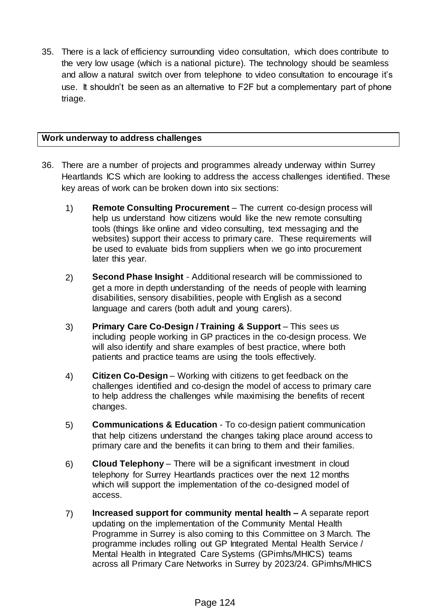35. There is a lack of efficiency surrounding video consultation, which does contribute to the very low usage (which is a national picture). The technology should be seamless and allow a natural switch over from telephone to video consultation to encourage it's use. It shouldn't be seen as an alternative to F2F but a complementary part of phone triage.

## **Work underway to address challenges**

- 36. There are a number of projects and programmes already underway within Surrey Heartlands ICS which are looking to address the access challenges identified. These key areas of work can be broken down into six sections:
	- 1) **Remote Consulting Procurement** The current co-design process will help us understand how citizens would like the new remote consulting tools (things like online and video consulting, text messaging and the websites) support their access to primary care. These requirements will be used to evaluate bids from suppliers when we go into procurement later this year.
	- 2) **Second Phase Insight** Additional research will be commissioned to get a more in depth understanding of the needs of people with learning disabilities, sensory disabilities, people with English as a second language and carers (both adult and young carers).
	- 3) **Primary Care Co-Design / Training & Support** This sees us including people working in GP practices in the co-design process. We will also identify and share examples of best practice, where both patients and practice teams are using the tools effectively.
	- 4) **Citizen Co-Design** Working with citizens to get feedback on the challenges identified and co-design the model of access to primary care to help address the challenges while maximising the benefits of recent changes.
	- 5) **Communications & Education**  To co-design patient communication that help citizens understand the changes taking place around access to primary care and the benefits it can bring to them and their families.
	- 6) **Cloud Telephony** There will be a significant investment in cloud telephony for Surrey Heartlands practices over the next 12 months which will support the implementation of the co-designed model of access.
	- 7) **Increased support for community mental health –** A separate report updating on the implementation of the Community Mental Health Programme in Surrey is also coming to this Committee on 3 March. The programme includes rolling out GP Integrated Mental Health Service / Mental Health in Integrated Care Systems (GPimhs/MHICS) teams across all Primary Care Networks in Surrey by 2023/24. GPimhs/MHICS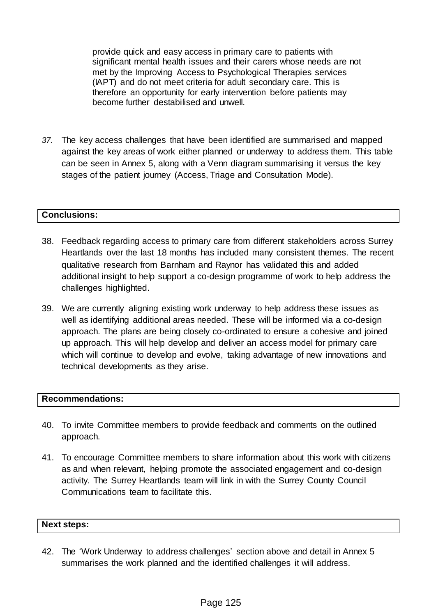provide quick and easy access in primary care to patients with significant mental health issues and their carers whose needs are not met by the Improving Access to Psychological Therapies services (IAPT) and do not meet criteria for adult secondary care. This is therefore an opportunity for early intervention before patients may become further destabilised and unwell.

*37.* The key access challenges that have been identified are summarised and mapped against the key areas of work either planned or underway to address them. This table can be seen in Annex 5, along with a Venn diagram summarising it versus the key stages of the patient journey (Access, Triage and Consultation Mode).

#### **Conclusions:**

- 38. Feedback regarding access to primary care from different stakeholders across Surrey Heartlands over the last 18 months has included many consistent themes. The recent qualitative research from Barnham and Raynor has validated this and added additional insight to help support a co-design programme of work to help address the challenges highlighted.
- 39. We are currently aligning existing work underway to help address these issues as well as identifying additional areas needed. These will be informed via a co-design approach. The plans are being closely co-ordinated to ensure a cohesive and joined up approach. This will help develop and deliver an access model for primary care which will continue to develop and evolve, taking advantage of new innovations and technical developments as they arise.

#### **Recommendations:**

- 40. To invite Committee members to provide feedback and comments on the outlined approach.
- 41. To encourage Committee members to share information about this work with citizens as and when relevant, helping promote the associated engagement and co-design activity. The Surrey Heartlands team will link in with the Surrey County Council Communications team to facilitate this.

## **Next steps:**

42. The 'Work Underway to address challenges' section above and detail in Annex 5 summarises the work planned and the identified challenges it will address.